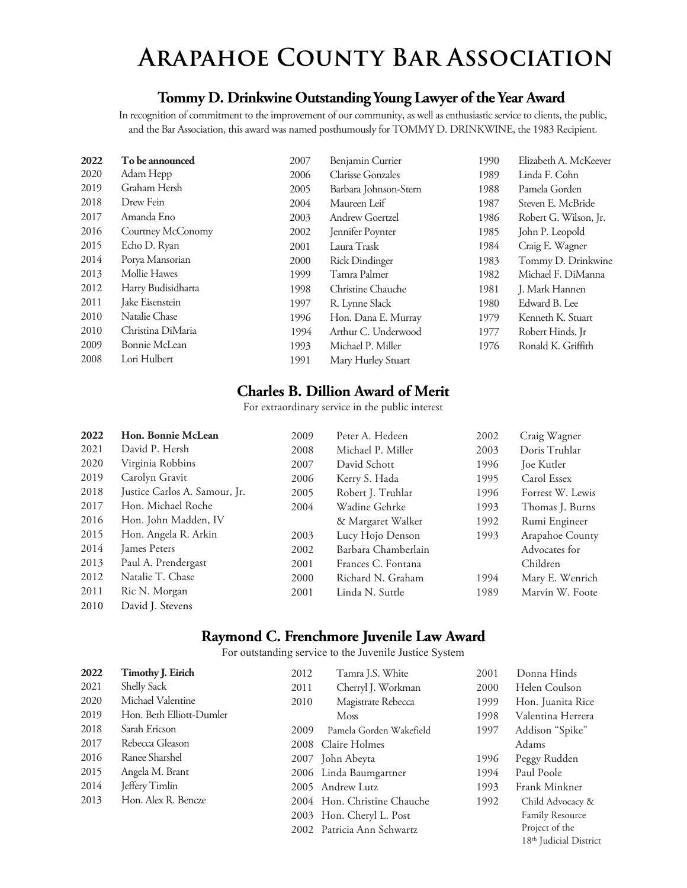## **Arapahoe County Bar Association**

#### **Tommy D. Drinkwine Outstanding Young Lawyer of the Year Award**

In recognition of commitment to the improvement of our community, as well as enthusiastic service to clients, the public, and the Bar Association, this award was named posthumously for TOMMY D. DRINKWINE, the 1983 Recipient.

| 2022 | To be announced    | 2007 | Benjamin Currier         | 1990 | Elizabeth A. McKeever |
|------|--------------------|------|--------------------------|------|-----------------------|
| 2020 | Adam Hepp          | 2006 | <b>Clarisse Gonzales</b> | 1989 | Linda F. Cohn         |
| 2019 | Graham Hersh       | 2005 | Barbara Johnson-Stern    | 1988 | Pamela Gorden         |
| 2018 | Drew Fein          | 2004 | Maureen Leif             | 1987 | Steven E. McBride     |
| 2017 | Amanda Eno         | 2003 | Andrew Goertzel          | 1986 | Robert G. Wilson, Jr. |
| 2016 | Courtney McConomy  | 2002 | Jennifer Poynter         | 1985 | John P. Leopold       |
| 2015 | Echo D. Ryan       | 2001 | Laura Trask              | 1984 | Craig E. Wagner       |
| 2014 | Porya Mansorian    | 2000 | <b>Rick Dindinger</b>    | 1983 | Tommy D. Drinkwine    |
| 2013 | Mollie Hawes       | 1999 | Tamra Palmer             | 1982 | Michael F. DiManna    |
| 2012 | Harry Budisidharta | 1998 | Christine Chauche        | 1981 | J. Mark Hannen        |
| 2011 | Jake Eisenstein    | 1997 | R. Lynne Slack           | 1980 | Edward B. Lee         |
| 2010 | Natalie Chase      | 1996 | Hon. Dana E. Murray      | 1979 | Kenneth K. Stuart     |
| 2010 | Christina DiMaria  | 1994 | Arthur C. Underwood      | 1977 | Robert Hinds, Jr      |
| 2009 | Bonnie McLean      | 1993 | Michael P. Miller        | 1976 | Ronald K. Griffith    |
| 2008 | Lori Hulbert       | 1991 | Mary Hurley Stuart       |      |                       |
|      |                    |      |                          |      |                       |

#### **Charles B. Dillion Award of Merit**

For extraordinary service in the public interest

| 2022 | Hon. Bonnie McLean            | 2009 | Peter A. Hedeen     | 2002 | Craig Wagner     |
|------|-------------------------------|------|---------------------|------|------------------|
| 2021 | David P. Hersh                | 2008 | Michael P. Miller   | 2003 | Doris Truhlar    |
| 2020 | Virginia Robbins              | 2007 | David Schott        | 1996 | Joe Kutler       |
| 2019 | Carolyn Gravit                | 2006 | Kerry S. Hada       | 1995 | Carol Essex      |
| 2018 | Justice Carlos A. Samour, Jr. | 2005 | Robert J. Truhlar   | 1996 | Forrest W. Lewis |
| 2017 | Hon. Michael Roche            | 2004 | Wadine Gehrke       | 1993 | Thomas J. Burns  |
| 2016 | Hon. John Madden, IV          |      | & Margaret Walker   | 1992 | Rumi Engineer    |
| 2015 | Hon. Angela R. Arkin          | 2003 | Lucy Hojo Denson    | 1993 | Arapahoe County  |
| 2014 | <b>James Peters</b>           | 2002 | Barbara Chamberlain |      | Advocates for    |
| 2013 | Paul A. Prendergast           | 2001 | Frances C. Fontana  |      | Children         |
| 2012 | Natalie T. Chase              | 2000 | Richard N. Graham   | 1994 | Mary E. Wenrich  |
| 2011 | Ric N. Morgan                 | 2001 | Linda N. Suttle     | 1989 | Marvin W. Foote  |
| 2010 | David J. Stevens              |      |                     |      |                  |

#### **Raymond C. Frenchmore Juvenile Law Award**

For outstanding service to the Juvenile Justice System

| 2022 | <b>Timothy J. Eirich</b> | 2012 | Tamra J.S. White            | 2001 | Donna Hinds                        |
|------|--------------------------|------|-----------------------------|------|------------------------------------|
| 2021 | Shelly Sack              | 2011 | Cherryl J. Workman          | 2000 | Helen Coulson                      |
| 2020 | Michael Valentine        | 2010 | Magistrate Rebecca          | 1999 | Hon. Juanita Rice                  |
| 2019 | Hon. Beth Elliott-Dumler |      | <b>Moss</b>                 | 1998 | Valentina Herrera                  |
| 2018 | Sarah Ericson            | 2009 | Pamela Gorden Wakefield     | 1997 | Addison "Spike"                    |
| 2017 | Rebecca Gleason          | 2008 | Claire Holmes               |      | Adams                              |
| 2016 | Ranee Sharshel           |      | 2007 John Abeyta            | 1996 | Peggy Rudden                       |
| 2015 | Angela M. Brant          |      | 2006 Linda Baumgartner      | 1994 | Paul Poole                         |
| 2014 | Jeffery Timlin           |      | 2005 Andrew Lutz            | 1993 | Frank Minkner                      |
| 2013 | Hon. Alex R. Bencze      |      | 2004 Hon. Christine Chauche | 1992 | Child Advocacy &                   |
|      |                          |      | 2003 Hon. Cheryl L. Post    |      | <b>Family Resource</b>             |
|      |                          |      | 2002 Patricia Ann Schwartz  |      | Project of the                     |
|      |                          |      |                             |      | 18 <sup>th</sup> Judicial District |